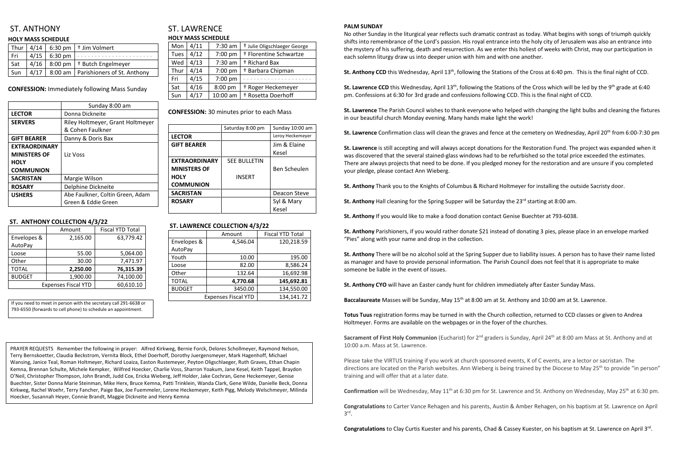# ST. ANTHONY

### **HOLY MASS SCHEDULE**

| Thur |      |                | $4/14$   6:30 pm   † Jim Volmert              |
|------|------|----------------|-----------------------------------------------|
| Fri  |      | $4/15$ 6:30 pm |                                               |
| Sat  |      |                | $4/16$   8:00 pm   $\dagger$ Butch Engelmeyer |
| Sun  | 4/17 |                | 8:00 am   Parishioners of St. Anthony         |

**CONFESSION:** Immediately following Mass Sunday

|                      | Sunday 8:00 am                   |  |
|----------------------|----------------------------------|--|
| <b>LECTOR</b>        | Donna Dickneite                  |  |
| <b>SERVERS</b>       | Riley Holtmeyer, Grant Holtmeyer |  |
|                      | & Cohen Faulkner                 |  |
| <b>GIFT BEARER</b>   | Danny & Doris Bax                |  |
| <b>EXTRAORDINARY</b> |                                  |  |
| <b>MINISTERS OF</b>  | Liz Voss                         |  |
| <b>HOLY</b>          |                                  |  |
| <b>COMMUNION</b>     |                                  |  |
| <b>SACRISTAN</b>     | Margie Wilson                    |  |
| <b>ROSARY</b>        | Delphine Dickneite               |  |
| <b>USHERS</b>        | Abe Faulkner, Coltin Green, Adam |  |
|                      | Green & Eddie Green              |  |

## **ST. ANTHONY COLLECTION 4/3/22**

|               | Amount                     | <b>Fiscal YTD Total</b> |
|---------------|----------------------------|-------------------------|
| Envelopes &   | 2,165.00                   | 63,779.42               |
| AutoPay       |                            |                         |
| Loose         | 55.00                      | 5,064.00                |
| Other         | 30.00                      | 7,471.97                |
| <b>TOTAL</b>  | 2,250.00                   | 76,315.39               |
| <b>BUDGET</b> | 1,900.00                   | 74,100.00               |
|               | <b>Expenses Fiscal YTD</b> | 60,610.10               |

# ST. LAWRENCE **HOLY MASS SCHEDULE**

| Mon         | 4/11 | $7:30$ am | <sup>†</sup> Julie Oligschlaeger George |
|-------------|------|-----------|-----------------------------------------|
| <b>Tues</b> | 4/12 | 7:00 pm   | † Florentine Schwartze                  |
| Wed         | 4/13 | $7:30$ am | <sup>†</sup> Richard Bax                |
| Thur        | 4/14 | $7:00$ pm | † Barbara Chipman                       |
| Fri         | 4/15 | 7:00 pm   |                                         |
| Sat         | 4/16 | 8:00 pm   | <sup>†</sup> Roger Heckemeyer           |
| Sun         | 4/17 | 10:00 am  | <sup>+</sup> Rosetta Doerhoff           |

**CONFESSION:** 30 minutes prior to each Mass

St. Lawrence CCD this Wednesday, April 13<sup>th</sup>, following the Stations of the Cross which will be led by the 9<sup>th</sup> grade at 6:40 pm. Confessions at 6:30 for 3rd grade and confessions following CCD. This is the final night of CCD.

|                      | Saturday 8:00 pm    | Sunday 10:00 am  |
|----------------------|---------------------|------------------|
| <b>LECTOR</b>        |                     | Leroy Heckemeyer |
| <b>GIFT BEARER</b>   |                     | Jim & Elaine     |
|                      |                     | Kesel            |
| <b>EXTRAORDINARY</b> | <b>SEE BULLETIN</b> |                  |
| <b>MINISTERS OF</b>  |                     | Ben Scheulen     |
| <b>HOLY</b>          | <b>INSERT</b>       |                  |
| <b>COMMUNION</b>     |                     |                  |
| <b>SACRISTAN</b>     |                     | Deacon Steve     |
| <b>ROSARY</b>        |                     | Syl & Mary       |
|                      |                     | Kesel            |

# **ST. LAWRENCE COLLECTION 4/3/22**

|                            | Amount   | <b>Fiscal YTD Total</b> |  |
|----------------------------|----------|-------------------------|--|
| Envelopes &                | 4,546.04 | 120,218.59              |  |
| AutoPay                    |          |                         |  |
| Youth                      | 10.00    | 195.00                  |  |
| Loose                      | 82.00    | 8,586.24                |  |
| Other                      | 132.64   | 16,692.98               |  |
| <b>TOTAL</b>               | 4,770.68 | 145,692.81              |  |
| <b>BUDGET</b>              | 3450.00  | 134,550.00              |  |
| <b>Expenses Fiscal YTD</b> |          | 134,141.72              |  |

### **PALM SUNDAY**

No other Sunday in the liturgical year reflects such dramatic contrast as today. What begins with songs of triumph quickly shifts into remembrance of the Lord's passion. His royal entrance into the holy city of Jerusalem was also an entrance into the mystery of his suffering, death and resurrection. As we enter this holiest of weeks with Christ, may our participation in each solemn liturgy draw us into deeper union with him and with one another.

**St. Anthony CCD** this Wednesday, April 13<sup>th</sup>, following the Stations of the Cross at 6:40 pm. This is the final night of CCD.

**Sacrament of First Holy Communion** (Eucharist) for 2<sup>nd</sup> graders is Sunday, April 24<sup>th</sup> at 8:00 am Mass at St. Anthony and at 10:00 a.m. Mass at St. Lawrence.

Please take the VIRTUS training if you work at church sponsored events, K of C events, are a lector or sacristan. The directions are located on the Parish websites. Ann Wieberg is being trained by the Diocese to May 25<sup>th</sup> to provide "in person" training and will offer that at a later date.

Confirmation will be Wednesday, May 11<sup>th</sup> at 6:30 pm for St. Lawrence and St. Anthony on Wednesday, May 25<sup>th</sup> at 6:30 pm.

**St. Lawrence** The Parish Council wishes to thank everyone who helped with changing the light bulbs and cleaning the fixtures in our beautiful church Monday evening. Many hands make light the work!

St. Lawrence Confirmation class will clean the graves and fence at the cemetery on Wednesday, April 20<sup>th</sup> from 6:00-7:30 pm

**St. Lawrence** is still accepting and will always accept donations for the Restoration Fund. The project was expanded when it was discovered that the several stained-glass windows had to be refurbished so the total price exceeded the estimates. There are always projects that need to be done. If you pledged money for the restoration and are unsure if you completed your pledge, please contact Ann Wieberg.

**St. Anthony** Thank you to the Knights of Columbus & Richard Holtmeyer for installing the outside Sacristy door.

**St. Anthony** Hall cleaning for the Spring Supper will be Saturday the 23<sup>rd</sup> starting at 8:00 am.

**St. Anthony** If you would like to make a food donation contact Genise Buechter at 793-6038.

**St. Anthony** Parishioners, if you would rather donate \$21 instead of donating 3 pies, please place in an envelope marked "Pies" along with your name and drop in the collection.

**St. Anthony** There will be no alcohol sold at the Spring Supper due to liability issues. A person has to have their name listed as manager and have to provide personal information. The Parish Council does not feel that it is appropriate to make someone be liable in the event of issues.

**St. Anthony CYO** will have an Easter candy hunt for children immediately after Easter Sunday Mass.

**Baccalaureate** Masses will be Sunday, May 15th at 8:00 am at St. Anthony and 10:00 am at St. Lawrence.

**Totus Tuus** registration forms may be turned in with the Church collection, returned to CCD classes or given to Andrea Holtmeyer. Forms are available on the webpages or in the foyer of the churches.

**Congratulations** to Carter Vance Rehagen and his parents, Austin & Amber Rehagen, on his baptism at St. Lawrence on April 3 rd .

Congratulations to Clay Curtis Kuester and his parents, Chad & Cassey Kuester, on his baptism at St. Lawrence on April 3<sup>rd</sup>.

If you need to meet in person with the secretary call 291-6638 or 793-6550 (forwards to cell phone) to schedule an appointment.

PRAYER REQUESTS Remember the following in prayer: Alfred Kirkweg, Bernie Forck, Delores Schollmeyer, Raymond Nelson, Terry Bernskoetter, Claudia Beckstrom, Vernita Block, Ethel Doerhoff, Dorothy Juergensmeyer, Mark Hagenhoff, Michael Wansing, Janice Teal, Roman Holtmeyer, Richard Loaiza, Easton Rustemeyer, Peyton Oligschlaeger, Ruth Graves, Ethan Chapin Kemna, Brennan Schulte, Michele Kempker, Wilfred Hoecker, Charlie Voss, Sharron Yoakum, Jane Kesel, Keith Tappel, Braydon O'Neil, Christopher Thompson, John Brandt, Judd Cox, Ericka Wieberg, Jeff Holder, Jake Cochran, Gene Heckemeyer, Genise Buechter, Sister Donna Marie Steinman, Mike Herx, Bruce Kemna, Patti Trinklein, Wanda Clark, Gene Wilde, Danielle Beck, Donna Kirkweg, Rachel Woehr, Terry Fancher, Paige Bax, Joe Fuemmeler, Lorene Heckemeyer, Keith Pigg, Melody Welschmeyer, Milinda Hoecker, Susannah Heyer, Connie Brandt, Maggie Dickneite and Henry Kemna